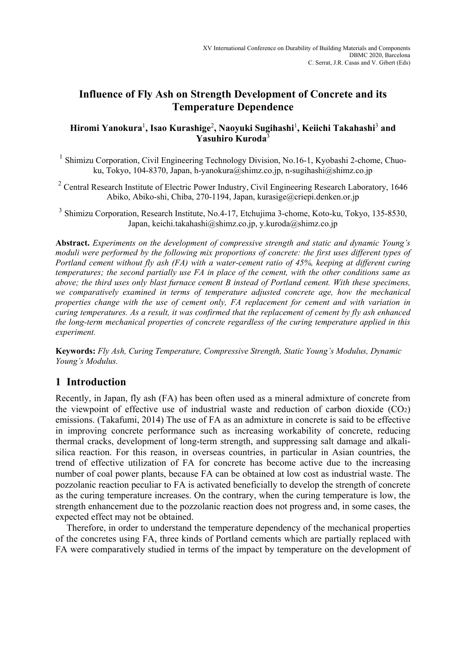# **Influence of Fly Ash on Strength Development of Concrete and its Temperature Dependence**

### **Hiromi Yanokura**<sup>1</sup> **, Isao Kurashige**<sup>2</sup> **, Naoyuki Sugihashi**<sup>1</sup> **, Keiichi Takahashi**<sup>3</sup>  **and Yasuhiro Kuroda**<sup>3</sup>

<sup>1</sup> Shimizu Corporation, Civil Engineering Technology Division, No.16-1, Kyobashi 2-chome, Chuoku, Tokyo, 104-8370, Japan, h-yanokura@shimz.co.jp, n-sugihashi@shimz.co.jp

<sup>2</sup> Central Research Institute of Electric Power Industry, Civil Engineering Research Laboratory, 1646 Abiko, Abiko-shi, Chiba, 270-1194, Japan, kurasige@criepi.denken.or.jp

<sup>3</sup> Shimizu Corporation, Research Institute, No.4-17, Etchujima 3-chome, Koto-ku, Tokyo, 135-8530, Japan, keichi.takahashi@shimz.co.jp, y.kuroda@shimz.co.jp

**Abstract.** *Experiments on the development of compressive strength and static and dynamic Young's moduli were performed by the following mix proportions of concrete: the first uses different types of Portland cement without fly ash (FA) with a water-cement ratio of 45%, keeping at different curing temperatures; the second partially use FA in place of the cement, with the other conditions same as above; the third uses only blast furnace cement B instead of Portland cement. With these specimens, we comparatively examined in terms of temperature adjusted concrete age, how the mechanical properties change with the use of cement only, FA replacement for cement and with variation in curing temperatures. As a result, it was confirmed that the replacement of cement by fly ash enhanced the long-term mechanical properties of concrete regardless of the curing temperature applied in this experiment.*

**Keywords:** *Fly Ash, Curing Temperature, Compressive Strength, Static Young's Modulus, Dynamic Young's Modulus.* 

## **1 Introduction**

Recently, in Japan, fly ash (FA) has been often used as a mineral admixture of concrete from the viewpoint of effective use of industrial waste and reduction of carbon dioxide  $(CO<sub>2</sub>)$ emissions. (Takafumi, 2014) The use of FA as an admixture in concrete is said to be effective in improving concrete performance such as increasing workability of concrete, reducing thermal cracks, development of long-term strength, and suppressing salt damage and alkalisilica reaction. For this reason, in overseas countries, in particular in Asian countries, the trend of effective utilization of FA for concrete has become active due to the increasing number of coal power plants, because FA can be obtained at low cost as industrial waste. The pozzolanic reaction peculiar to FA is activated beneficially to develop the strength of concrete as the curing temperature increases. On the contrary, when the curing temperature is low, the strength enhancement due to the pozzolanic reaction does not progress and, in some cases, the expected effect may not be obtained.

Therefore, in order to understand the temperature dependency of the mechanical properties of the concretes using FA, three kinds of Portland cements which are partially replaced with FA were comparatively studied in terms of the impact by temperature on the development of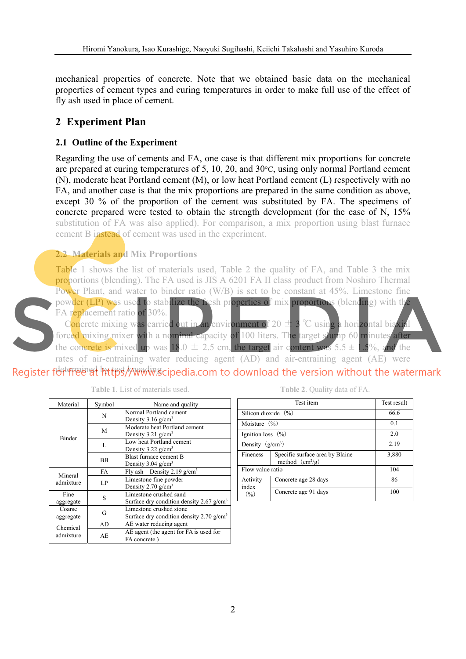mechanical properties of concrete. Note that we obtained basic data on the mechanical properties of cement types and curing temperatures in order to make full use of the effect of fly ash used in place of cement.

# **2 Experiment Plan**

## **2.1 Outline of the Experiment**

Regarding the use of cements and FA, one case is that different mix proportions for concrete are prepared at curing temperatures of 5, 10, 20, and 30°C, using only normal Portland cement (N), moderate heat Portland cement (M), or low heat Portland cement (L) respectively with no FA, and another case is that the mix proportions are prepared in the same condition as above, except 30 % of the proportion of the cement was substituted by FA. The specimens of concrete prepared were tested to obtain the strength development (for the case of N, 15% substitution of FA was also applied). For comparison, a mix proportion using blast furnace cement B instead of cement was used in the experiment.

## **2.2 Materials and Mix Proportions**

Table 1 shows the list of materials used, Table 2 the quality of FA, and Table 3 the mix proportions (blending). The FA used is JIS A 6201 FA II class product from Noshiro Thermal Power Plant, and water to binder ratio (W/B) is set to be constant at 45%. Limestone fine



powder (LP) was used to stabilize the fresh properties of mix proportions (blending) with the FA replacement ratio of 30%.

Concrete mixing was carried out in an environment of 20  $\pm$  3 °C using a horizontal biaxial forced mixing mixer with a nominal capacity of 100 liters. The target slump 60 minutes after the concrete is mixed up was  $18.0 \pm 2.5$  cm, the target air content was  $5.5 \pm 1.5$ %, and the

rates of air-entraining water reducing agent (AD) and air-entraining agent (AE) were Register for free of https//www.scipedia.com to download the version without the watermark

| Material            | Symbol    | Name and quality                                                                  |  |  |
|---------------------|-----------|-----------------------------------------------------------------------------------|--|--|
|                     | N         | Normal Portland cement<br>Density $3.16$ g/cm <sup>3</sup>                        |  |  |
|                     | M         | Moderate heat Portland cement<br>Density $3.21$ g/cm <sup>3</sup>                 |  |  |
| <b>Binder</b>       | L         | Low heat Portland cement<br>Density 3.22 g/cm <sup>3</sup>                        |  |  |
|                     | <b>BB</b> | Blast furnace cement B<br>Density $3.04$ g/cm <sup>3</sup>                        |  |  |
| Mineral             | FA        | Fly ash Density 2.19 $g/cm3$                                                      |  |  |
| admixture           | LP        | Limestone fine powder<br>Density $2.70$ g/cm <sup>3</sup>                         |  |  |
| Fine<br>aggregate   | S         | Limestone crushed sand<br>Surface dry condition density 2.67 $g/cm3$              |  |  |
| Coarse<br>aggregate | G         | Limestone crushed stone<br>Surface dry condition density $2.70$ g/cm <sup>3</sup> |  |  |
| Chemical            | AD        | AE water reducing agent                                                           |  |  |
| admixture           | AE.       | AE agent (the agent for FA is used for<br>FA concrete.)                           |  |  |

**Table 1**. List of materials used.

**Table 2**. Quality data of FA.

|                         | Test result                                          |       |  |
|-------------------------|------------------------------------------------------|-------|--|
| Silicon dioxide $(\% )$ | 66.6                                                 |       |  |
| Moisture $(\% )$        | 0.1                                                  |       |  |
| Ignition loss $(\% )$   | 2.0                                                  |       |  |
| Density $(g/cm^3)$      | 2.19                                                 |       |  |
| Fineness                | Specific surface area by Blaine<br>method $(cm^2/g)$ | 3,880 |  |
| Flow value ratio        |                                                      | 104   |  |
| Activity<br>index       | Concrete age 28 days                                 | 86    |  |
| (9/0)                   | Concrete age 91 days                                 | 100   |  |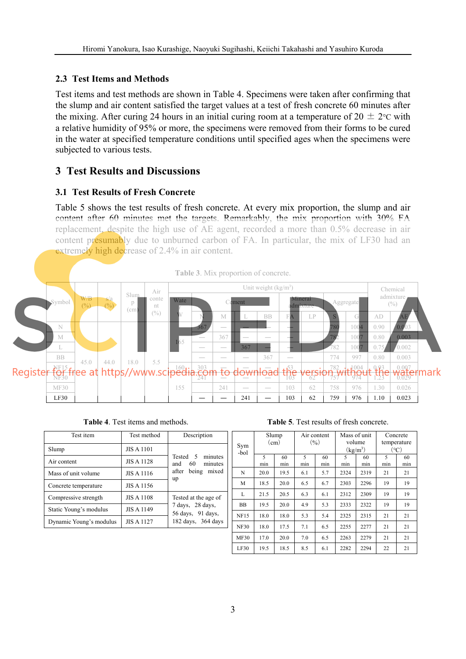### **2.3 Test Items and Methods**

Test items and test methods are shown in Table 4. Specimens were taken after confirming that the slump and air content satisfied the target values at a test of fresh concrete 60 minutes after the mixing. After curing 24 hours in an initial curing room at a temperature of  $20 \pm 2$ °C with a relative humidity of 95% or more, the specimens were removed from their forms to be cured in the water at specified temperature conditions until specified ages when the specimens were subjected to various tests.

## **3 Test Results and Discussions**

### **3.1 Test Results of Fresh Concrete**

Table 5 shows the test results of fresh concrete. At every mix proportion, the slump and air content after 60 minutes met the targets. Remarkably, the mix proportion with 30% FA replacement, despite the high use of AE agent, recorded a more than 0.5% decrease in air content presumably due to unburned carbon of FA. In particular, the mix of LF30 had an extremely high decrease of 2.4% in air content.



|  |  | Table 4. Test items and methods. |
|--|--|----------------------------------|
|--|--|----------------------------------|

| Test item               | Test method       | Description                                                 |
|-------------------------|-------------------|-------------------------------------------------------------|
| Slump                   | <b>JIS A 1101</b> |                                                             |
| Air content             | <b>JIS A 1128</b> | Tested 5<br>minutes<br>and 60 minutes                       |
| Mass of unit volume     | JIS A 1116        | after being mixed<br>up                                     |
| Concrete temperature    | JIS A 1156        |                                                             |
| Compressive strength    | <b>JIS A 1108</b> | Tested at the age of                                        |
| Static Young's modulus  | <b>JIS A 1149</b> | $7 \text{ days}$ , $28 \text{ days}$ ,<br>56 days, 91 days, |
| Dynamic Young's modulus | <b>JIS A 1127</b> | 182 days, 364 days                                          |
|                         |                   |                                                             |

**Table 5**. Test results of fresh concrete.

|             | Slump             |      | Air content |     | Mass of unit                                |      | Concrete    |     |
|-------------|-------------------|------|-------------|-----|---------------------------------------------|------|-------------|-----|
| Sym         | (c <sub>m</sub> ) |      | (9/0)       |     | volume                                      |      | temperature |     |
| -bol        |                   |      |             |     | $\left(\frac{\text{kg}}{\text{m}^3}\right)$ |      | (°C)        |     |
|             | 5                 | 60   | 5           | 60  | 5                                           | 60   | 5           | 60  |
|             | min               | min  | min         | min | min                                         | min  | min         | min |
| N           | 20.0              | 19.5 | 6.1         | 5.7 | 2324                                        | 2319 | 21          | 21  |
| M           | 18.5              | 20.0 | 6.5         | 6.7 | 2303                                        | 2296 | 19          | 19  |
| L           | 21.5              | 20.5 | 6.3         | 6.1 | 2312                                        | 2309 | 19          | 19  |
| <b>BB</b>   | 19.5              | 20.0 | 4.9         | 5.3 | 2333                                        | 2322 | 19          | 19  |
| <b>NF15</b> | 18.0              | 18.0 | 5.3         | 5.4 | 2325                                        | 2315 | 21          | 21  |
| <b>NF30</b> | 18.0              | 17.5 | 7.1         | 6.5 | 2255                                        | 2277 | 21          | 21  |
| <b>MF30</b> | 17.0              | 20.0 | 7.0         | 6.5 | 2263                                        | 2279 | 21          | 21  |
| LF30        | 19.5              | 18.5 | 8.5         | 6.1 | 2282                                        | 2294 | 22          | 21  |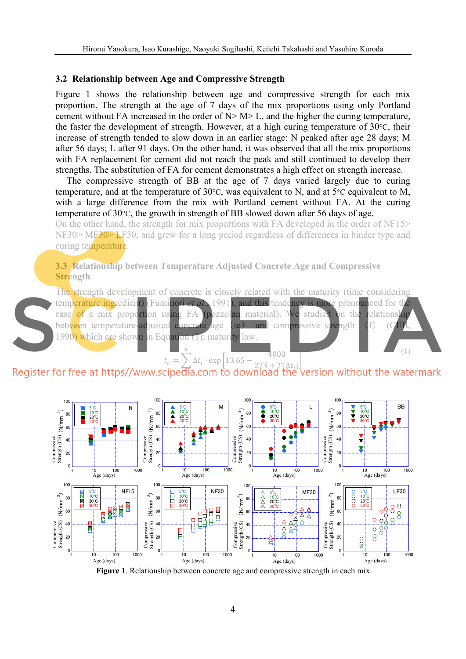#### **3.2 Relationship between Age and Compressive Strength**

Figure 1 shows the relationship between age and compressive strength for each mix proportion. The strength at the age of 7 days of the mix proportions using only Portland cement without FA increased in the order of  $N > M > L$ , and the higher the curing temperature, the faster the development of strength. However, at a high curing temperature of 30°C, their increase of strength tended to slow down in an earlier stage: N peaked after age 28 days; M after 56 days; L after 91 days. On the other hand, it was observed that all the mix proportions with FA replacement for cement did not reach the peak and still continued to develop their strengths. The substitution of FA for cement demonstrates a high effect on strength increase.

The compressive strength of BB at the age of 7 days varied largely due to curing temperature, and at the temperature of 30°C, was equivalent to N, and at 5°C equivalent to M, with a large difference from the mix with Portland cement without FA. At the curing temperature of 30°C, the growth in strength of BB slowed down after 56 days of age.

On the other hand, the strength for mix proportions with FA developed in the order of NF15> NF30> MF30> LF30, and grew for a long period regardless of differences in binder type and curing temperature.

### **3.3 Relationship between Temperature Adjusted Concrete Age and Compressive Strength**

The strength development of concrete is closely related with the maturity (time considering temperature ingredient) (Fuminori *et al.*, 1991), and this tendency is more pronounced for the case of a mix proportion using FA (pozzolan material). We studied on the relationship between temperature-adjusted concrete age (te) and compressive strength  $(f)$ 1990) which are shown in Equation (1); maturity law.

(1)



 $t_e = \sum_i \Delta t_i$  $\frac{13.65 - \frac{13.65}{273 + T(\Delta t_i)}}{273 + T(\Delta t_i)}$ 4000

#### ൌ1

**Figure 1**. Relationship between concrete age and compressive strength in each mix.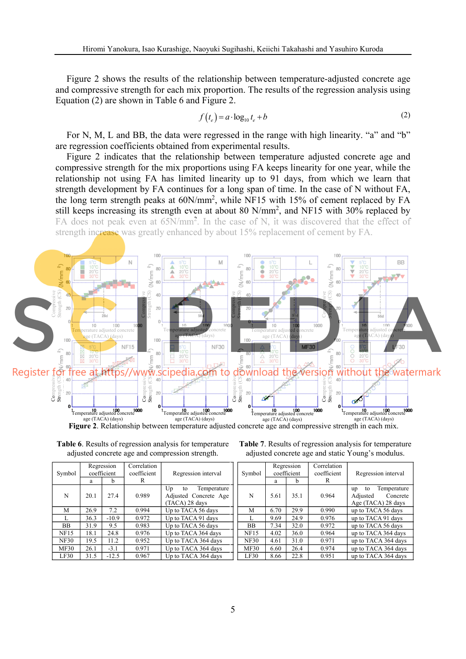Figure 2 shows the results of the relationship between temperature-adjusted concrete age and compressive strength for each mix proportion. The results of the regression analysis using Equation (2) are shown in Table 6 and Figure 2.

$$
f(t_e) = a \cdot \log_{10} t_e + b \tag{2}
$$

For N, M, L and BB, the data were regressed in the range with high linearity. "a" and "b" are regression coefficients obtained from experimental results.

Figure 2 indicates that the relationship between temperature adjusted concrete age and compressive strength for the mix proportions using FA keeps linearity for one year, while the relationship not using FA has limited linearity up to 91 days, from which we learn that strength development by FA continues for a long span of time. In the case of N without FA, the long term strength peaks at  $60N/mm^2$ , while NF15 with 15% of cement replaced by FA still keeps increasing its strength even at about 80 N/mm<sup>2</sup>, and NF15 with 30% replaced by FA does not peak even at 65N/mm<sup>2</sup>. In the case of N, it was discovered that the effect of strength increase was greatly enhanced by about 15% replacement of cement by FA.



**Figure 2**. Relationship between temperature adjusted concrete age and compressive strength in each mix.

| Symbol      | Regression<br>coefficient |         | Correlation<br>coefficient | Regression interval                                                |  |
|-------------|---------------------------|---------|----------------------------|--------------------------------------------------------------------|--|
|             | a                         | b       | R                          |                                                                    |  |
| N           | 20.1                      | 27.4    | 0.989                      | Up<br>Temperature<br>to<br>Adjusted Concrete Age<br>(TACA) 28 days |  |
| M           | 26.9                      | 7.2     | 0.994                      | Up to TACA 56 days                                                 |  |
|             | 36.3                      | $-10.9$ | 0.972                      | Up to TACA 91 days                                                 |  |
| <b>BB</b>   | 31.9                      | 9.5     | 0.983                      | Up to TACA 56 days                                                 |  |
| <b>NF15</b> | 18.1                      | 24.8    | 0.976                      | Up to TACA 364 days                                                |  |
| <b>NF30</b> | 19.5                      | 11.2    | 0.952                      | Up to TACA 364 days                                                |  |
| MF30        | 26.1                      | $-3.1$  | 0.971                      | Up to TACA 364 days                                                |  |
| LF30        | 31.5                      | $-12.5$ | 0.967                      | Up to TACA 364 days                                                |  |

**Table 6**. Results of regression analysis for temperature adjusted concrete age and compression strength.

**Table 7**. Results of regression analysis for temperature adjusted concrete age and static Young's modulus.

| Symbol      | Regression<br>coefficient |      | Correlation<br>coefficient | Regression interval                                                   |
|-------------|---------------------------|------|----------------------------|-----------------------------------------------------------------------|
|             | a                         | h    | R                          |                                                                       |
| N           | 5.61                      | 35.1 | 0.964                      | Temperature<br>to<br>up<br>Adjusted<br>Concrete<br>Age (TACA) 28 days |
| M           | 6.70                      | 29.9 | 0.990                      | up to TACA 56 days                                                    |
| L           | 9.69                      | 24.9 | 0.976                      | up to TACA 91 days                                                    |
| <b>BB</b>   | 7.34                      | 32.0 | 0.972                      | up to TACA 56 days                                                    |
| <b>NF15</b> | 4.02                      | 36.0 | 0.964                      | up to TACA 364 days                                                   |
| <b>NF30</b> | 4.61                      | 31.0 | 0.971                      | up to TACA 364 days                                                   |
| <b>MF30</b> | 6.60                      | 26.4 | 0.974                      | up to TACA 364 days                                                   |
| LF30        | 8.66                      | 22.8 | 0.951                      | up to TACA 364 days                                                   |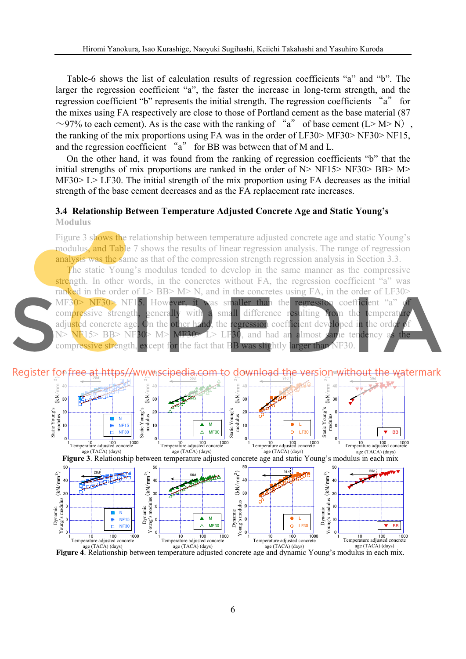Table-6 shows the list of calculation results of regression coefficients "a" and "b". The larger the regression coefficient "a", the faster the increase in long-term strength, and the regression coefficient "b" represents the initial strength. The regression coefficients "a" for the mixes using FA respectively are close to those of Portland cement as the base material (87  $\sim$ 97% to each cement). As is the case with the ranking of "a" of base cement (L> M> N), the ranking of the mix proportions using FA was in the order of LF30> MF30> NF30> NF15, and the regression coefficient "a" for BB was between that of M and L.

On the other hand, it was found from the ranking of regression coefficients "b" that the initial strengths of mix proportions are ranked in the order of  $N > NF15 > NF30 > BB > M>$ MF30> L> LF30. The initial strength of the mix proportion using FA decreases as the initial strength of the base cement decreases and as the FA replacement rate increases.

#### **3.4 Relationship Between Temperature Adjusted Concrete Age and Static Young's Modulus**

Figure 3 shows the relationship between temperature adjusted concrete age and static Young's modulus, and Table 7 shows the results of linear regression analysis. The range of regression analysis was the same as that of the compression strength regression analysis in Section 3.3.

The static Young's modulus tended to develop in the same manner as the compressive strength. In other words, in the concretes without FA, the regression coefficient "a" was ranked in the order of L> BB> M> N, and in the concretes using FA, in the order of LF30>  $MF30> NF30> NF15$ . However, it was smaller than the regression coefficient "a" compressive strength, generally with a small difference resulting from the temperature adjusted concrete age. On the other hand, the regression coefficient developed in the order of  $N > NF15 > BB > NF30 > M > MF30 > L > LF30$ , and had an almost same tendency as the compressive strength, except for the fact that BB was slightly larger than NF30.

**MERGE AT DITIDS//WWW.SCIDEGIA.COM TO CLOWNIOAD THE VELSION®** 



**Figure 4**. Relationship between temperature adjusted concrete age and dynamic Young's modulus in each mix.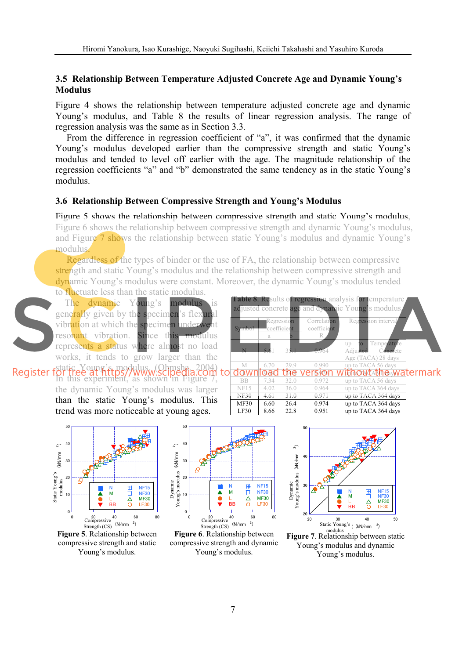#### **3.5 Relationship Between Temperature Adjusted Concrete Age and Dynamic Young's Modulus**

Figure 4 shows the relationship between temperature adjusted concrete age and dynamic Young's modulus, and Table 8 the results of linear regression analysis. The range of regression analysis was the same as in Section 3.3.

From the difference in regression coefficient of "a", it was confirmed that the dynamic Young's modulus developed earlier than the compressive strength and static Young's modulus and tended to level off earlier with the age. The magnitude relationship of the regression coefficients "a" and "b" demonstrated the same tendency as in the static Young's modulus.

#### **3.6 Relationship Between Compressive Strength and Young's Modulus**

Figure 5 shows the relationship between compressive strength and static Young's modulus, Figure 6 shows the relationship between compressive strength and dynamic Young's modulus, and Figure 7 shows the relationship between static Young's modulus and dynamic Young's modulus.

Regardless of the types of binder or the use of FA, the relationship between compressive strength and static Young's modulus and the relationship between compressive strength and dynamic Young's modulus were constant. Moreover, the dynamic Young's modulus tended to fluctuate less than the static modulus.

Symbol

egress coefficient

a b

N 5.61 35.1  $-0.964$ 

The dynamic Young's modulus is generally given by the specimen's flexural vibration at which the specimen underwent resonant vibration. Since this modulus represents a status where almost no load works, it tends to grow larger than the

static Young's modulus. (Ohmsha, 2004) In this experiment, as shown in Figure 7, the dynamic Young's modulus was larger than the static Young's modulus. This trend was more noticeable at young ages.



**Figure 5**. Relationship between compressive strength and static Young's modulus.



**Figure 6**. Relationship between compressive strength and dynamic Young's modulus.



**Figure 7**. Relationship between static Young's modulus and dynamic Young's modulus.



Regression inter

Tem Adjusted C

**Table 8.** Results of regression analysis for temperature adjusted concrete age and dynamic Young's modulus. justed concrete age and dynamic Young's modulus

> Correlat coeffic R